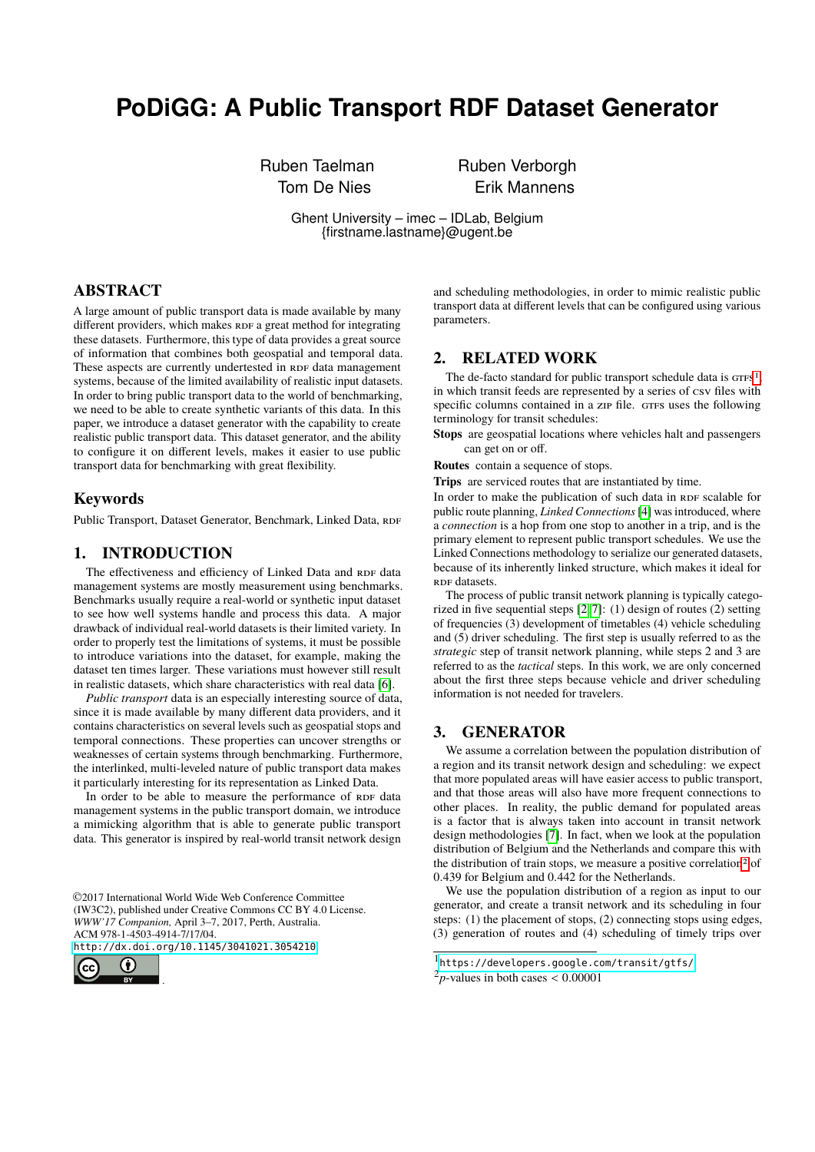# **PoDiGG: A Public Transport RDF Dataset Generator**

Ruben Taelman **Ruben Verborgh** 

Tom De Nies **Erik Mannens** 

Ghent University – imec – IDLab, Belgium {firstname.lastname}@ugent.be

## ABSTRACT

A large amount of public transport data is made available by many different providers, which makes RDF a great method for integrating these datasets. Furthermore, this type of data provides a great source of information that combines both geospatial and temporal data. These aspects are currently undertested in RDF data management systems, because of the limited availability of realistic input datasets. In order to bring public transport data to the world of benchmarking, we need to be able to create synthetic variants of this data. In this paper, we introduce a dataset generator with the capability to create realistic public transport data. This dataset generator, and the ability to configure it on different levels, makes it easier to use public transport data for benchmarking with great flexibility.

## Keywords

Public Transport, Dataset Generator, Benchmark, Linked Data, RDF

# 1. INTRODUCTION

The effectiveness and efficiency of Linked Data and RDF data management systems are mostly measurement using benchmarks. Benchmarks usually require a real-world or synthetic input dataset to see how well systems handle and process this data. A major drawback of individual real-world datasets is their limited variety. In order to properly test the limitations of systems, it must be possible to introduce variations into the dataset, for example, making the dataset ten times larger. These variations must however still result in realistic datasets, which share characteristics with real data [\[6\]](#page-1-0).

*Public transport* data is an especially interesting source of data, since it is made available by many different data providers, and it contains characteristics on several levels such as geospatial stops and temporal connections. These properties can uncover strengths or weaknesses of certain systems through benchmarking. Furthermore, the interlinked, multi-leveled nature of public transport data makes it particularly interesting for its representation as Linked Data.

In order to be able to measure the performance of RDF data management systems in the public transport domain, we introduce a mimicking algorithm that is able to generate public transport data. This generator is inspired by real-world transit network design

©2017 International World Wide Web Conference Committee (IW3C2), published under Creative Commons CC BY 4.0 License. *WWW'17 Companion,* April 3–7, 2017, Perth, Australia. ACM 978-1-4503-4914-7/17/04.

<http://dx.doi.org/10.1145/3041021.3054210>

.



and scheduling methodologies, in order to mimic realistic public transport data at different levels that can be configured using various parameters.

# 2. RELATED WORK

The de-facto standard for public transport schedule data is  $GTFS<sup>1</sup>$  $GTFS<sup>1</sup>$  $GTFS<sup>1</sup>$ . in which transit feeds are represented by a series of csv files with specific columns contained in a zip file. GTFS uses the following terminology for transit schedules:

**Stops** are geospatial locations where vehicles halt and passengers can get on or off.

**Routes** contain a sequence of stops.

**Trips** are serviced routes that are instantiated by time.

In order to make the publication of such data in RDF scalable for public route planning, *Linked Connections*[\[4\]](#page-1-1) was introduced, where a *connection* is a hop from one stop to another in a trip, and is the primary element to represent public transport schedules. We use the Linked Connections methodology to serialize our generated datasets, because of its inherently linked structure, which makes it ideal for RDF datasets.

The process of public transit network planning is typically categorized in five sequential steps [\[2,](#page-1-2) [7\]](#page-1-3): (1) design of routes (2) setting of frequencies (3) development of timetables (4) vehicle scheduling and (5) driver scheduling. The first step is usually referred to as the *strategic* step of transit network planning, while steps 2 and 3 are referred to as the *tactical* steps. In this work, we are only concerned about the first three steps because vehicle and driver scheduling information is not needed for travelers.

#### 3. GENERATOR

We assume a correlation between the population distribution of a region and its transit network design and scheduling: we expect that more populated areas will have easier access to public transport, and that those areas will also have more frequent connections to other places. In reality, the public demand for populated areas is a factor that is always taken into account in transit network design methodologies [\[7\]](#page-1-3). In fact, when we look at the population distribution of Belgium and the Netherlands and compare this with the distribution of train stops, we measure a positive correlation<sup>[2](#page-0-1)</sup> of <sup>0</sup>.<sup>439</sup> for Belgium and <sup>0</sup>.<sup>442</sup> for the Netherlands.

We use the population distribution of a region as input to our generator, and create a transit network and its scheduling in four steps: (1) the placement of stops, (2) connecting stops using edges, (3) generation of routes and (4) scheduling of timely trips over

<span id="page-0-0"></span><sup>1</sup> <https://developers.google.com/transit/gtfs/>

<span id="page-0-1"></span> $^{2}p$ -values in both cases  $< 0.00001$